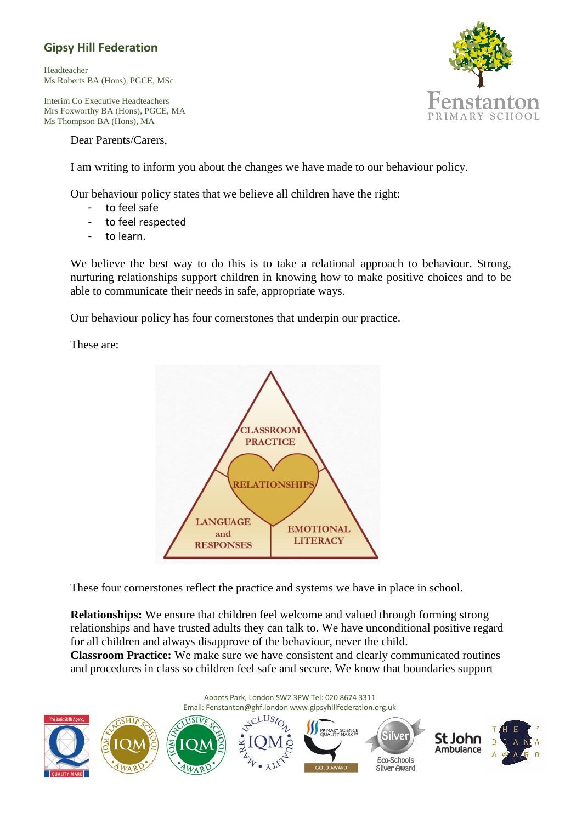## **Gipsy Hill Federation**

Headteacher Ms Roberts BA (Hons), PGCE, MSc

Interim Co Executive Headteachers Mrs Foxworthy BA (Hons), PGCE, MA Ms Thompson BA (Hons), MA

Dear Parents/Carers,

I am writing to inform you about the changes we have made to our behaviour policy.

Our behaviour policy states that we believe all children have the right:

- to feel safe
- to feel respected
- to learn.

We believe the best way to do this is to take a relational approach to behaviour. Strong, nurturing relationships support children in knowing how to make positive choices and to be able to communicate their needs in safe, appropriate ways.

Our behaviour policy has four cornerstones that underpin our practice.

These are:



These four cornerstones reflect the practice and systems we have in place in school.

**Relationships:** We ensure that children feel welcome and valued through forming strong relationships and have trusted adults they can talk to. We have unconditional positive regard for all children and always disapprove of the behaviour, never the child.

**Classroom Practice:** We make sure we have consistent and clearly communicated routines and procedures in class so children feel safe and secure. We know that boundaries support